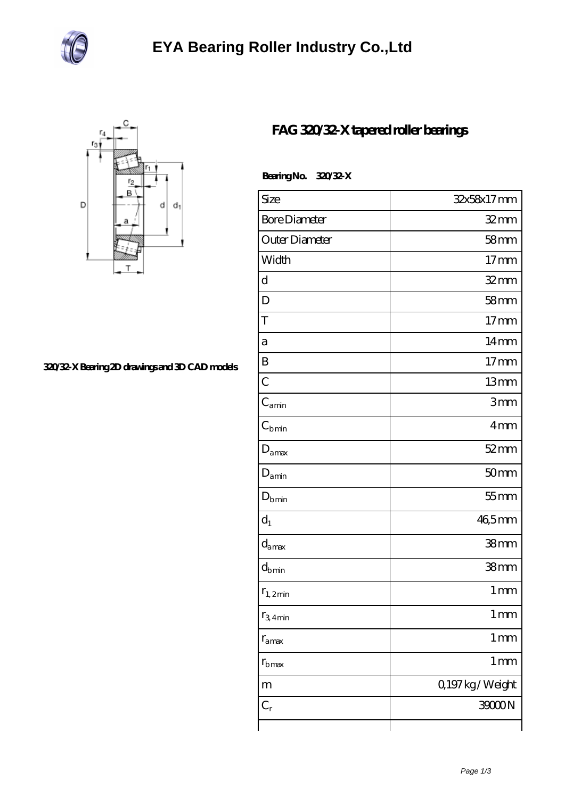



## **[320/32-X Bearing 2D drawings and 3D CAD models](https://m.jqcdh.com/pic-69509.html)**

## **[FAG 320/32-X tapered roller bearings](https://m.jqcdh.com/bh-69509-fag-320-32-x-tapered-roller-bearings.html)**

 **Bearing No. 320/32-X**

| <b>Size</b>          | 32x58x17mm          |
|----------------------|---------------------|
|                      |                     |
| <b>Bore Diameter</b> | $32 \text{mm}$      |
| Outer Diameter       | 58 <sub>mm</sub>    |
| Width                | 17 <sub>mm</sub>    |
| d                    | $32$ mm             |
| D                    | 58 <sub>mm</sub>    |
| T                    | 17 <sub>mm</sub>    |
| a                    | $14 \text{mm}$      |
| B                    | 17 <sub>mm</sub>    |
| $\overline{C}$       | 13mm                |
| $C_{\rm amin}$       | 3mm                 |
| $C_{\rm bmin}$       | 4mm                 |
| $D_{\text{amax}}$    | $52 \, \mathrm{mm}$ |
| $D_{\text{amin}}$    | 50 <sub>mm</sub>    |
| $D_{bmin}$           | $55$ mm             |
| $d_1$                | 46,5mm              |
| $d_{\text{amax}}$    | 38 <sub>mm</sub>    |
| $d_{bmin}$           | 38 <sub>mm</sub>    |
| $r_{1,2min}$         | $1 \, \text{mm}$    |
| $r_{3.4\text{min}}$  | $1 \, \text{mm}$    |
| $r_{\text{amax}}$    | 1 <sub>mm</sub>     |
| $r_{\rm b \, max}$   | $1 \,\mathrm{mm}$   |
| m                    | Q197kg/Weight       |
| $C_r$                | 39000N              |
|                      |                     |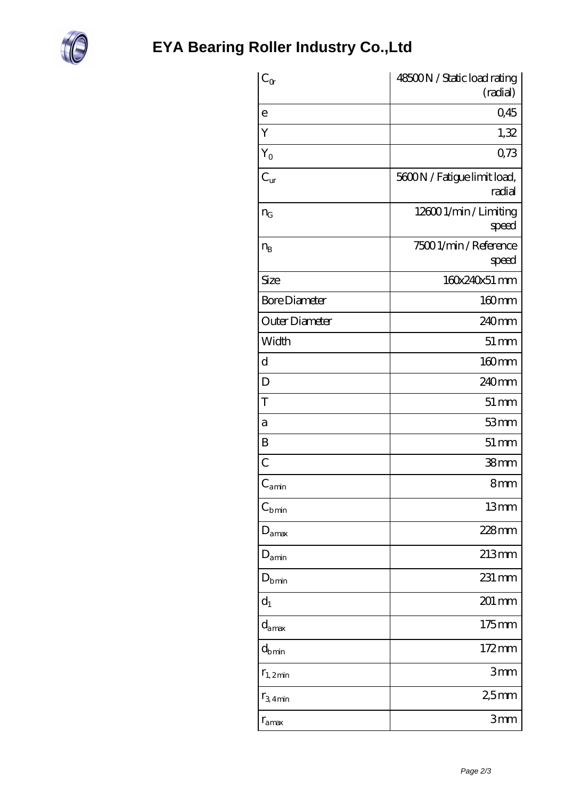

| $C_{\alpha}$                 | 48500N / Static load rating           |
|------------------------------|---------------------------------------|
|                              | (radial)                              |
| e                            | 0,45                                  |
| Y                            | 1,32                                  |
| $Y_{O}$                      | 0,73                                  |
| $C_{\rm ur}$                 | 5600N / Fatigue limit load,<br>radial |
| $n_G$                        | 126001/min/Limiting<br>speed          |
| $n_{B}$                      | 75001/min/Reference<br>speed          |
| Size                         | 160x240x51 mm                         |
| <b>Bore Diameter</b>         | 160mm                                 |
| Outer Diameter               | 240 <sub>mm</sub>                     |
| Width                        | $51 \, \text{mm}$                     |
| d                            | 160mm                                 |
| D                            | 240 <sub>mm</sub>                     |
| T                            | $51 \, \text{mm}$                     |
| a                            | 53mm                                  |
| B                            | $51 \, \mathrm{mm}$                   |
| C                            | 38mm                                  |
| $\mathsf{C}_{\mathsf{amin}}$ | 8mm                                   |
| $C_{\rm bmin}$               | 13mm                                  |
| amax                         | 228mm                                 |
| $D_{\text{amin}}$            | 213mm                                 |
| $D_{bmin}$                   | 231 mm                                |
| $d_1$                        | 201 mm                                |
| $d_{\text{amax}}$            | $175 \text{mm}$                       |
| $d_{\rm b\,min}$             | 172mm                                 |
| $r_{1,2min}$                 | 3mm                                   |
| $r_{3.4}$ min                | 25mm                                  |
| $r_{\rm amax}$               | 3 <sub>mm</sub>                       |